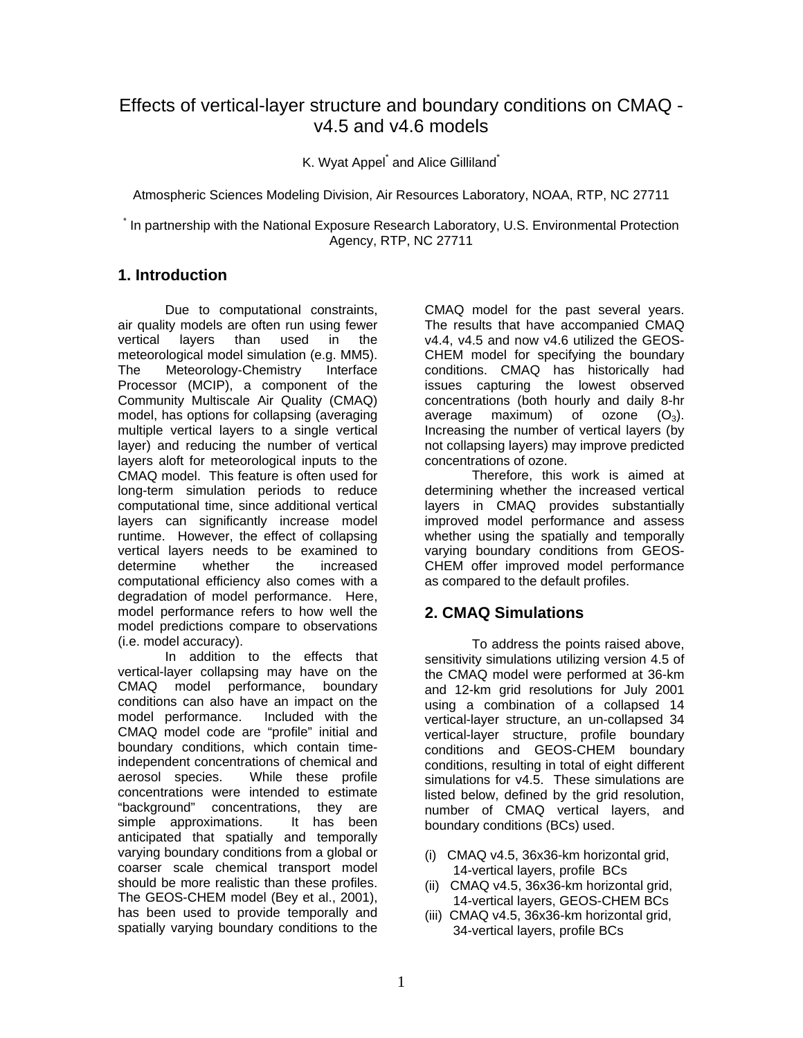# Effects of vertical-layer structure and boundary conditions on CMAQ v4.5 and v4.6 models

K. Wyat Appel<sup>\*</sup> and Alice Gilliland<sup>\*</sup>

Atmospheric Sciences Modeling Division, Air Resources Laboratory, NOAA, RTP, NC 27711

\* In partnership with the National Exposure Research Laboratory, U.S. Environmental Protection Agency, RTP, NC 27711

## **1. Introduction**

Due to computational constraints, air quality models are often run using fewer vertical layers than used in the meteorological model simulation (e.g. MM5). The Meteorology-Chemistry Interface Processor (MCIP), a component of the Community Multiscale Air Quality (CMAQ) model, has options for collapsing (averaging multiple vertical layers to a single vertical layer) and reducing the number of vertical layers aloft for meteorological inputs to the CMAQ model. This feature is often used for long-term simulation periods to reduce computational time, since additional vertical layers can significantly increase model runtime. However, the effect of collapsing vertical layers needs to be examined to determine whether the increased computational efficiency also comes with a degradation of model performance. Here, model performance refers to how well the model predictions compare to observations (i.e. model accuracy).

In addition to the effects that vertical-layer collapsing may have on the CMAQ model performance, boundary conditions can also have an impact on the model performance. CMAQ model code are "profile" initial and boundary conditions, which contain timeindependent concentrations of chemical and aerosol species. While these profile concentrations were intended to estimate "background" concentrations, they are simple approximations. anticipated that spatially and temporally varying boundary conditions from a global or coarser scale chemical transport model should be more realistic than these profiles. The GEOS-CHEM model (Bey et al., 2001), has been used to provide temporally and spatially varying boundary conditions to the

CMAQ model for the past several years. The results that have accompanied CMAQ v4.4, v4.5 and now v4.6 utilized the GEOS-CHEM model for specifying the boundary conditions. CMAQ has historically had issues capturing the lowest observed concentrations (both hourly and daily 8-hr average maximum) of ozone  $(O_3)$ . Increasing the number of vertical layers (by not collapsing layers) may improve predicted concentrations of ozone.

Therefore, this work is aimed at determining whether the increased vertical layers in CMAQ provides substantially improved model performance and assess whether using the spatially and temporally varying boundary conditions from GEOS-CHEM offer improved model performance as compared to the default profiles.

## **2. CMAQ Simulations**

To address the points raised above, sensitivity simulations utilizing version 4.5 of the CMAQ model were performed at 36-km and 12-km grid resolutions for July 2001 using a combination of a collapsed 14 vertical-layer structure, an un-collapsed 34 vertical-layer structure, profile boundary conditions and GEOS-CHEM boundary conditions, resulting in total of eight different simulations for v4.5. These simulations are listed below, defined by the grid resolution, number of CMAQ vertical layers, and boundary conditions (BCs) used.

- (i) CMAQ v4.5, 36x36-km horizontal grid, 14-vertical layers, profile BCs
- (ii) CMAQ v4.5, 36x36-km horizontal grid, 14-vertical layers, GEOS-CHEM BCs
- (iii) CMAQ v4.5, 36x36-km horizontal grid, 34-vertical layers, profile BCs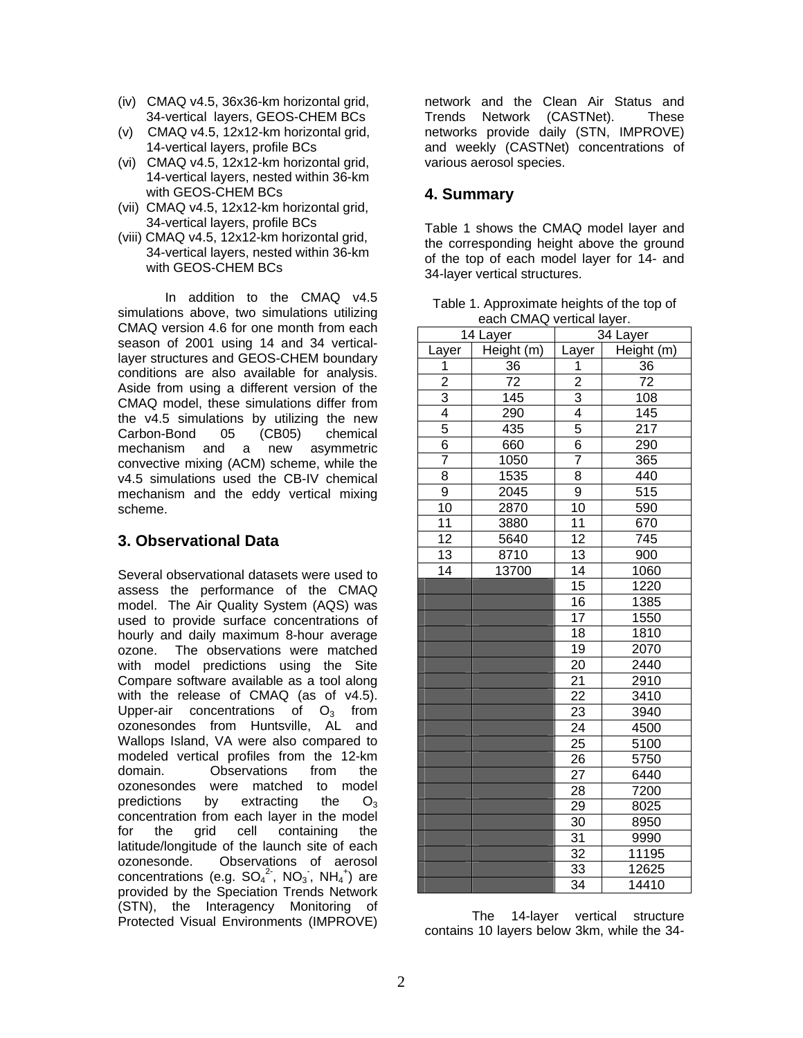- (iv) CMAQ v4.5, 36x36-km horizontal grid, 34-vertical layers, GEOS-CHEM BCs
- (v) CMAQ v4.5, 12x12-km horizontal grid, 14-vertical layers, profile BCs
- (vi) CMAQ v4.5, 12x12-km horizontal grid, 14-vertical layers, nested within 36-km with GEOS-CHEM BCs
- (vii) CMAQ v4.5, 12x12-km horizontal grid, 34-vertical layers, profile BCs
- (viii) CMAQ v4.5, 12x12-km horizontal grid, 34-vertical layers, nested within 36-km with GEOS-CHEM BCs

In addition to the CMAQ v4.5 simulations above, two simulations utilizing CMAQ version 4.6 for one month from each season of 2001 using 14 and 34 verticallayer structures and GEOS-CHEM boundary conditions are also available for analysis. Aside from using a different version of the CMAQ model, these simulations differ from the v4.5 simulations by utilizing the new Carbon-Bond 05 (CB05) chemical mechanism and a new asymmetric convective mixing (ACM) scheme, while the v4.5 simulations used the CB-IV chemical mechanism and the eddy vertical mixing scheme.

### **3. Observational Data**

Several observational datasets were used to assess the performance of the CMAQ model. The Air Quality System (AQS) was used to provide surface concentrations of hourly and daily maximum 8-hour average ozone. The observations were matched with model predictions using the Site Compare software available as a tool along with the release of CMAQ (as of v4.5). Upper-air concentrations of  $O<sub>3</sub>$  from ozonesondes from Huntsville, AL and Wallops Island, VA were also compared to modeled vertical profiles from the 12-km domain. Observations from the ozonesondes were matched to model predictions by extracting the  $O_3$ concentration from each layer in the model for the grid cell containing the latitude/longitude of the launch site of each ozonesonde. Observations of aerosol concentrations (e.g.  $SO_4^2$ , NO<sub>3</sub>, NH<sub>4</sub><sup>+</sup>) are provided by the Speciation Trends Network (STN), the Interagency Monitoring of Protected Visual Environments (IMPROVE)

network and the Clean Air Status and Trends Network (CASTNet). These networks provide daily (STN, IMPROVE) and weekly (CASTNet) concentrations of various aerosol species.

#### **4. Summary**

Table 1 shows the CMAQ model layer and the corresponding height above the ground of the top of each model layer for 14- and 34-layer vertical structures.

| Table 1. Approximate heights of the top of |  |
|--------------------------------------------|--|
| each CMAQ vertical layer.                  |  |

| 14 Layer        |                 | Gault Olving voltical layor.<br>34 Layer |                   |  |
|-----------------|-----------------|------------------------------------------|-------------------|--|
| Layer           | Height (m)      | Layer                                    | Height (m)        |  |
| 1               | 36              | 1                                        | 36                |  |
| $\overline{2}$  | $\overline{72}$ | $\overline{2}$                           | $\overline{72}$   |  |
| 3               | 145             | $\overline{3}$                           | 108               |  |
| $\overline{4}$  | 290             | $\overline{4}$                           | 145               |  |
| 5               | 435             | 5                                        | 217               |  |
| $\overline{6}$  | 660             | $\overline{6}$                           | 290               |  |
| 7               | 1050            | $\overline{7}$                           | 365               |  |
| $\overline{8}$  | 1535            | $\overline{8}$                           | 440               |  |
| 9               | 2045            | 9                                        | 515               |  |
| 10              | 2870            | $\overline{10}$                          | 590               |  |
| 11              | 3880            | 11                                       | 670               |  |
| $\overline{12}$ | 5640            | $\overline{12}$                          | 745               |  |
| 13              | 8710            | 13                                       | 900               |  |
| $\overline{14}$ | 13700           | $\overline{14}$                          | 1060              |  |
|                 |                 | 15                                       | 1220              |  |
|                 |                 | 16                                       | 1385              |  |
|                 |                 | $\overline{17}$                          | 1550              |  |
|                 |                 | $\overline{18}$                          | 1810              |  |
|                 |                 | $\overline{19}$                          | $20\overline{70}$ |  |
|                 |                 | 20                                       | 2440              |  |
|                 |                 | $2\overline{1}$                          | 2910              |  |
|                 |                 | 22                                       | 3410              |  |
|                 |                 | 23                                       | 3940              |  |
|                 |                 | 24                                       | 4500              |  |
|                 |                 | 25                                       | 5100              |  |
|                 |                 | 26                                       | 5750              |  |
|                 |                 | 27                                       | 6440              |  |
|                 |                 | 28                                       | 7200              |  |
|                 |                 | 29                                       | 8025              |  |
|                 |                 | 30                                       | 8950              |  |
|                 |                 | $\overline{31}$                          | 9990              |  |
|                 |                 | $\overline{32}$                          | 11195             |  |
|                 |                 | $\overline{33}$                          | 12625             |  |
|                 |                 | 34                                       | 14410             |  |

The 14-layer vertical structure contains 10 layers below 3km, while the 34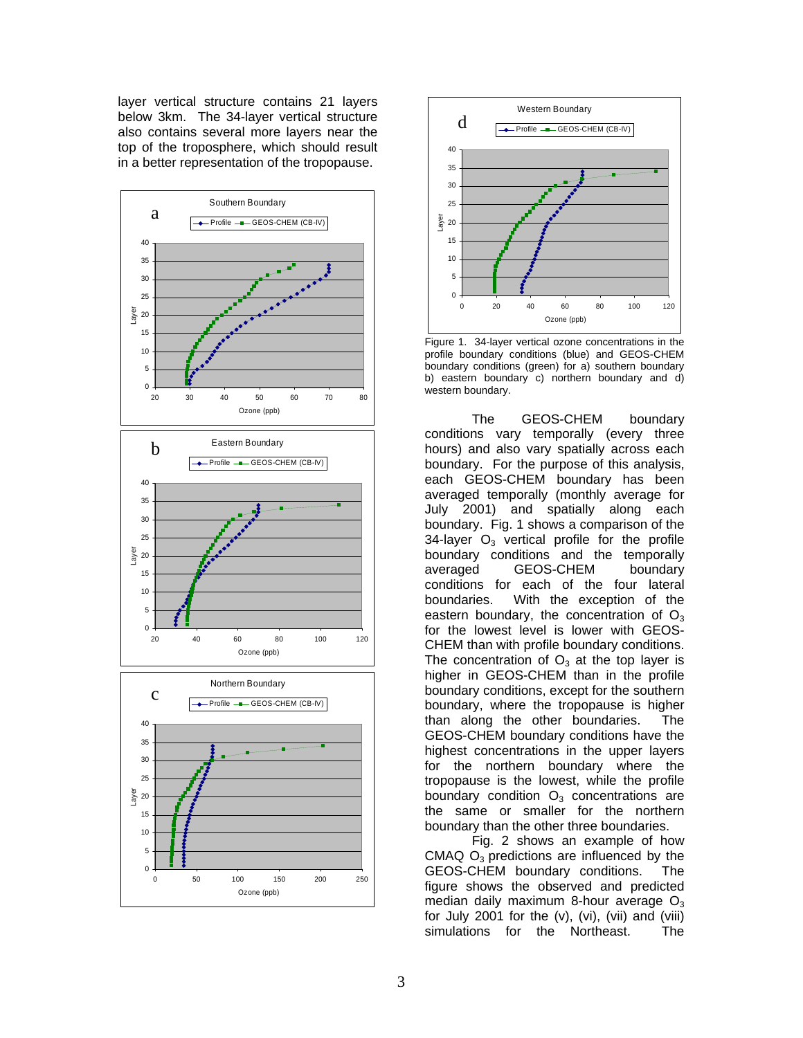layer vertical structure contains 21 layers below 3km. The 34-layer vertical structure also contains several more layers near the top of the troposphere, which should result in a better representation of the tropopause.





Figure 1. 34-layer vertical ozone concentrations in the profile boundary conditions (blue) and GEOS-CHEM boundary conditions (green) for a) southern boundary b) eastern boundary c) northern boundary and d) western boundary.

The GEOS-CHEM boundary conditions vary temporally (every three hours) and also vary spatially across each boundary. For the purpose of this analysis, each GEOS-CHEM boundary has been averaged temporally (monthly average for July 2001) and spatially along each boundary. Fig. 1 shows a comparison of the 34-layer  $O_3$  vertical profile for the profile boundary conditions and the temporally averaged GEOS-CHEM boundary conditions for each of the four lateral boundaries. With the exception of the eastern boundary, the concentration of  $O<sub>3</sub>$ for the lowest level is lower with GEOS-CHEM than with profile boundary conditions. The concentration of  $O_3$  at the top layer is higher in GEOS-CHEM than in the profile boundary conditions, except for the southern boundary, where the tropopause is higher than along the other boundaries. The GEOS-CHEM boundary conditions have the highest concentrations in the upper layers for the northern boundary where the tropopause is the lowest, while the profile boundary condition  $O_3$  concentrations are the same or smaller for the northern boundary than the other three boundaries.

Fig. 2 shows an example of how CMAQ  $O_3$  predictions are influenced by the GEOS-CHEM boundary conditions. The figure shows the observed and predicted median daily maximum 8-hour average  $O<sub>3</sub>$ for July 2001 for the  $(v)$ ,  $(vi)$ ,  $(vii)$  and  $(viii)$ simulations for the Northeast. The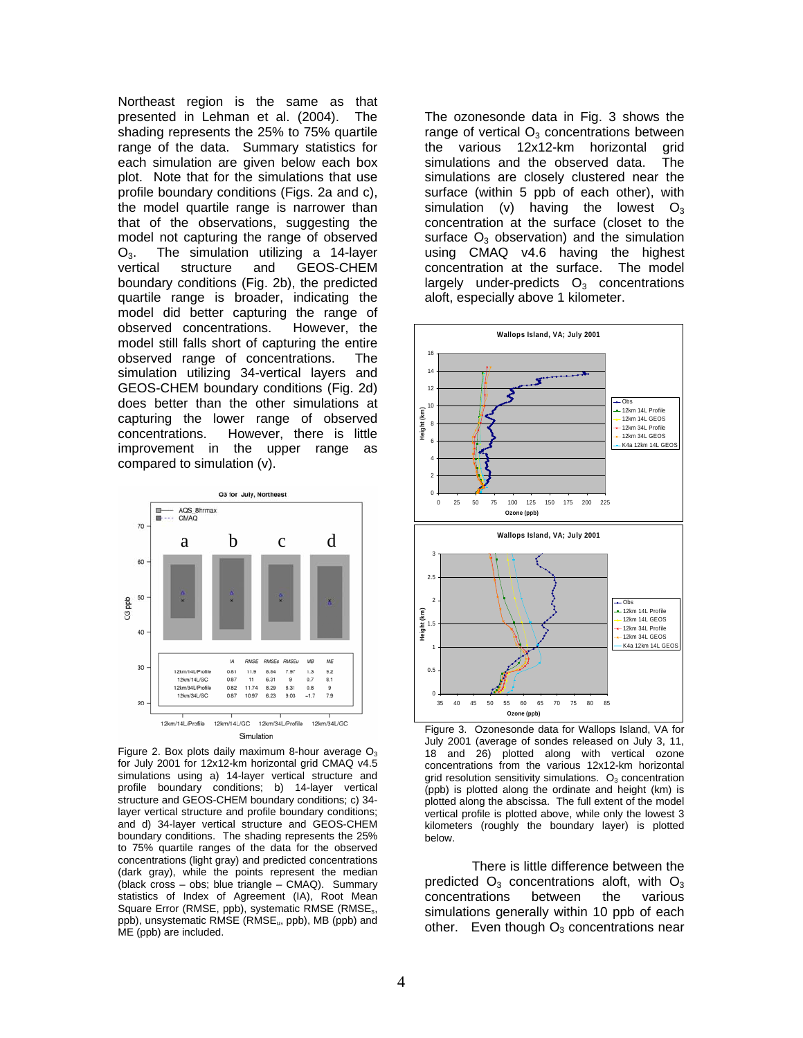Northeast region is the same as that presented in Lehman et al. (2004). The shading represents the 25% to 75% quartile range of the data. Summary statistics for each simulation are given below each box plot. Note that for the simulations that use profile boundary conditions (Figs. 2a and c), the model quartile range is narrower than that of the observations, suggesting the model not capturing the range of observed O<sub>3</sub>. The simulation utilizing a 14-layer<br>vertical structure and GEOS-CHEM **GEOS-CHEM** boundary conditions (Fig. 2b), the predicted quartile range is broader, indicating the model did better capturing the range of observed concentrations. However, the model still falls short of capturing the entire observed range of concentrations. The simulation utilizing 34-vertical layers and GEOS-CHEM boundary conditions (Fig. 2d) does better than the other simulations at capturing the lower range of observed concentrations. However, there is little improvement in the upper range as compared to simulation (v).



Figure 2. Box plots daily maximum 8-hour average  $O_3$ for July 2001 for 12x12-km horizontal grid CMAQ v4.5 simulations using a) 14-layer vertical structure and profile boundary conditions; b) 14-layer vertical structure and GEOS-CHEM boundary conditions; c) 34 layer vertical structure and profile boundary conditions; and d) 34-layer vertical structure and GEOS-CHEM boundary conditions. The shading represents the 25% to 75% quartile ranges of the data for the observed concentrations (light gray) and predicted concentrations (dark gray), while the points represent the median (black cross – obs; blue triangle – CMAQ). Summary statistics of Index of Agreement (IA), Root Mean Square Error (RMSE, ppb), systematic RMSE (RMSE<sub>s</sub>, ppb), unsystematic RMSE (RMSE<sub>u</sub>, ppb), MB (ppb) and ME (ppb) are included.

The ozonesonde data in Fig. 3 shows the range of vertical  $O<sub>3</sub>$  concentrations between the various 12x12-km horizontal grid simulations and the observed data. The simulations are closely clustered near the surface (within 5 ppb of each other), with simulation (v) having the lowest  $O_3$ concentration at the surface (closet to the surface  $O_3$  observation) and the simulation using CMAQ v4.6 having the highest concentration at the surface. The model largely under-predicts  $O_3$  concentrations aloft, especially above 1 kilometer.



Figure 3. Ozonesonde data for Wallops Island, VA for July 2001 (average of sondes released on July 3, 11, 18 and 26) plotted along with vertical ozone concentrations from the various 12x12-km horizontal grid resolution sensitivity simulations.  $O<sub>3</sub>$  concentration (ppb) is plotted along the ordinate and height (km) is plotted along the abscissa. The full extent of the model vertical profile is plotted above, while only the lowest 3 kilometers (roughly the boundary layer) is plotted below.

There is little difference between the predicted  $O_3$  concentrations aloft, with  $O_3$ concentrations between the various simulations generally within 10 ppb of each other. Even though  $O_3$  concentrations near